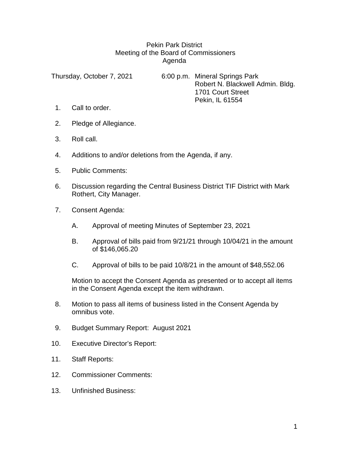## Pekin Park District Meeting of the Board of Commissioners Agenda

Thursday, October 7, 2021 6:00 p.m. Mineral Springs Park Robert N. Blackwell Admin. Bldg. 1701 Court Street Pekin, IL 61554

- 1. Call to order.
- 2. Pledge of Allegiance.
- 3. Roll call.
- 4. Additions to and/or deletions from the Agenda, if any.
- 5. Public Comments:
- 6. Discussion regarding the Central Business District TIF District with Mark Rothert, City Manager.
- 7. Consent Agenda:
	- A. Approval of meeting Minutes of September 23, 2021
	- B. Approval of bills paid from 9/21/21 through 10/04/21 in the amount of \$146,065.20
	- C. Approval of bills to be paid 10/8/21 in the amount of \$48,552.06

Motion to accept the Consent Agenda as presented or to accept all items in the Consent Agenda except the item withdrawn.

- 8. Motion to pass all items of business listed in the Consent Agenda by omnibus vote.
- 9. Budget Summary Report: August 2021
- 10. Executive Director's Report:
- 11. Staff Reports:
- 12. Commissioner Comments:
- 13. Unfinished Business: